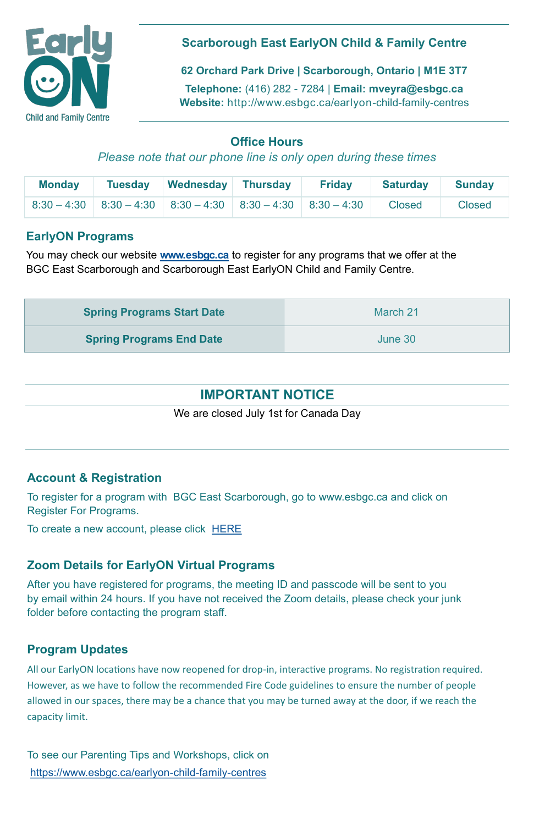

# **Scarborough East EarlyON Child & Family Centre**

**62 Orchard Park Drive | Scarborough, Ontario | M1E 3T7**

**Telephone:** (416) 282 - 7284 | **Email: mveyra@esbgc.ca Website:** http://www.esbgc.ca/earlyon-child-family-centres

| Monday | Tuesday   Wednesday   Thursday                                     | <b>Friday</b> | Saturday Sunday |               |
|--------|--------------------------------------------------------------------|---------------|-----------------|---------------|
|        | $8:30-4:30$ $8:30-4:30$ $8:30-4:30$ $8:30-4:30$ $8:30-4:30$ Closed |               |                 | <b>Closed</b> |

# **Office Hours**

*Please note that our phone line is only open during these times*

## **Account & Registration**

To register for a program with BGC East Scarborough, go to www.esbgc.ca and click on Register For Programs.

To create a new account, please click **[HERE](https://ca.apm.activecommunities.com/esbgc/Create_Account)** 

# **Zoom Details for EarlyON Virtual Programs**

After you have registered for programs, the meeting ID and passcode will be sent to you by email within 24 hours. If you have not received the Zoom details, please check your junk

### **Program Updates**

All our EarlyON locations have now reopened for drop-in, interactive programs. No registration required. However, as we have to follow the recommended Fire Code guidelines to ensure the number of people allowed in our spaces, there may be a chance that you may be turned away at the door, if we reach the capacity limit.

To see our Parenting Tips and Workshops, click on https://www.esbgc.ca/earlyon-child-family-centres

### **EarlyON Programs**

You may check our website **[www.esbgc.ca](http://www.esbgc.ca)** to register for any programs that we offer at the BGC East Scarborough and Scarborough East EarlyON Child and Family Centre.

# **IMPORTANT NOTICE**

We are closed July 1st for Canada Day

| <b>Spring Programs Start Date</b> | March 21 |
|-----------------------------------|----------|
| <b>Spring Programs End Date</b>   | June 30  |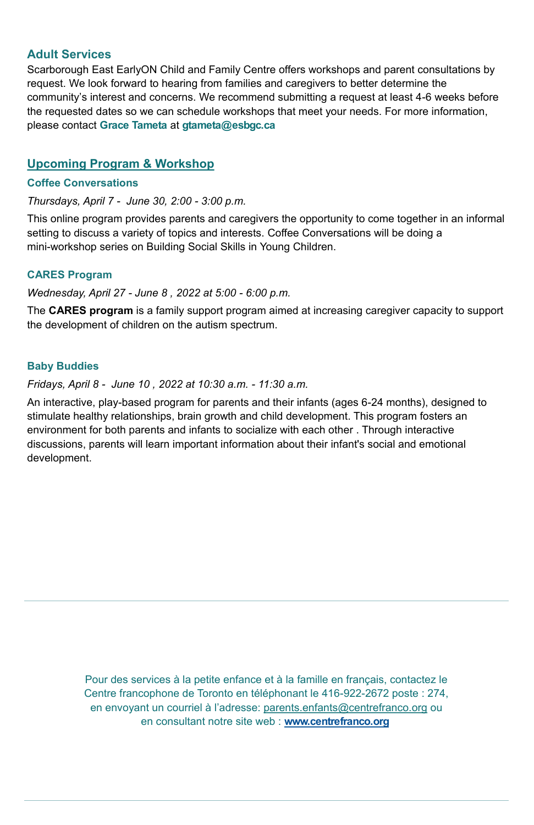Pour des services à la petite enfance et à la famille en français, contactez le Centre francophone de Toronto en téléphonant le 416-922-2672 poste : 274, en envoyant un courriel à l'adresse: [parents.enfants@centrefranco.org](mailto:parents.enfants@centrefranco.org) ou en consultant notre site web : **[www.centrefranco.org](http://www.centrefranco.org)**

### **Adult Services**

Scarborough East EarlyON Child and Family Centre offers workshops and parent consultations by request. We look forward to hearing from families and caregivers to better determine the community's interest and concerns. We recommend submitting a request at least 4-6 weeks before the requested dates so we can schedule workshops that meet your needs. For more information, please contact **Grace Tameta** at **gtameta@esbgc.ca**

### **Upcoming Program & Workshop**

#### **Coffee Conversations**

*Thursdays, April 7 - June 30, 2:00 - 3:00 p.m.*

This online program provides parents and caregivers the opportunity to come together in an informal setting to discuss a variety of topics and interests. Coffee Conversations will be doing a mini-workshop series on Building Social Skills in Young Children.

#### **CARES Program**

*Wednesday, April 27 - June 8 , 2022 at 5:00 - 6:00 p.m.*

The **CARES program** is a family support program aimed at increasing caregiver capacity to support the development of children on the autism spectrum.

#### **Baby Buddies**

*Fridays, April 8 - June 10 , 2022 at 10:30 a.m. - 11:30 a.m.*

An interactive, play-based program for parents and their infants (ages 6-24 months), designed to stimulate healthy relationships, brain growth and child development. This program fosters an environment for both parents and infants to socialize with each other . Through interactive discussions, parents will learn important information about their infant's social and emotional development.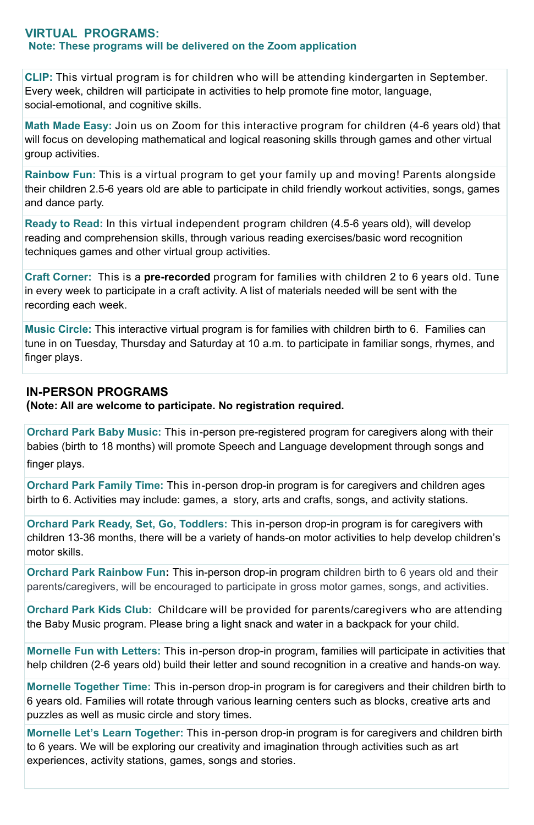**Orchard Park Baby Music:** This in-person pre-registered program for caregivers along with their babies (birth to 18 months) will promote Speech and Language development through songs and finger plays.

**Orchard Park Family Time:** This in-person drop-in program is for caregivers and children ages birth to 6. Activities may include: games, a story, arts and crafts, songs, and activity stations.

**Orchard Park Ready, Set, Go, Toddlers:** This in-person drop-in program is for caregivers with children 13-36 months, there will be a variety of hands-on motor activities to help develop children's motor skills.

**Orchard Park Rainbow Fun:** This in-person drop-in program children birth to 6 years old and their parents/caregivers, will be encouraged to participate in gross motor games, songs, and activities.

**Orchard Park Kids Club:** Childcare will be provided for parents/caregivers who are attending the Baby Music program. Please bring a light snack and water in a backpack for your child.

**Mornelle Fun with Letters:** This in-person drop-in program, families will participate in activities that help children (2-6 years old) build their letter and sound recognition in a creative and hands-on way.

**Mornelle Together Time:** This in-person drop-in program is for caregivers and their children birth to 6 years old. Families will rotate through various learning centers such as blocks, creative arts and puzzles as well as music circle and story times.

**Mornelle Let's Learn Together:** This in-person drop-in program is for caregivers and children birth to 6 years. We will be exploring our creativity and imagination through activities such as art experiences, activity stations, games, songs and stories.

#### **VIRTUAL PROGRAMS: Note: These programs will be delivered on the Zoom application**

**CLIP:** This virtual program is for children who will be attending kindergarten in September. Every week, children will participate in activities to help promote fine motor, language, social-emotional, and cognitive skills.

**Math Made Easy:** Join us on Zoom for this interactive program for children (4-6 years old) that will focus on developing mathematical and logical reasoning skills through games and other virtual group activities.

**Rainbow Fun:** This is a virtual program to get your family up and moving! Parents alongside their children 2.5-6 years old are able to participate in child friendly workout activities, songs, games and dance party.

**Ready to Read:** In this virtual independent program children (4.5-6 years old), will develop reading and comprehension skills, through various reading exercises/basic word recognition techniques games and other virtual group activities.

**Craft Corner:** This is a **pre-recorded** program for families with children 2 to 6 years old. Tune in every week to participate in a craft activity. A list of materials needed will be sent with the recording each week.

**Music Circle:** This interactive virtual program is for families with children birth to 6. Families can tune in on Tuesday, Thursday and Saturday at 10 a.m. to participate in familiar songs, rhymes, and finger plays.

#### **IN-PERSON PROGRAMS**

**(Note: All are welcome to participate. No registration required.**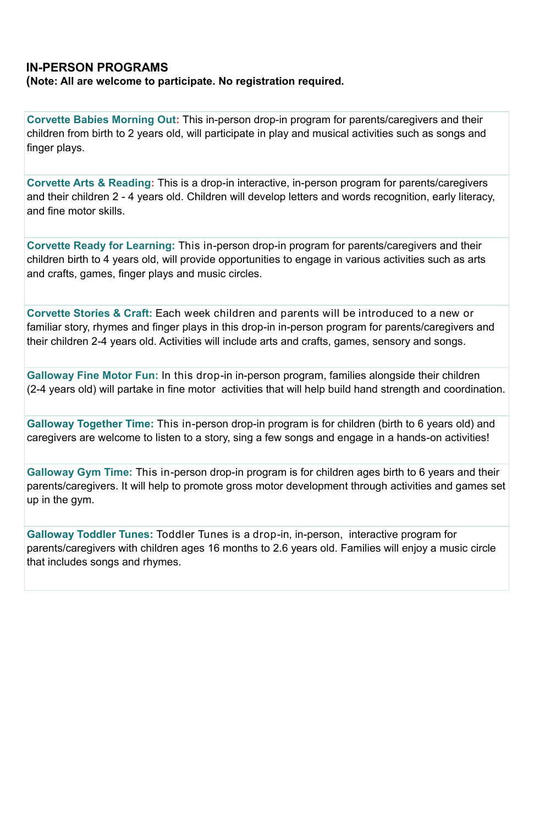**Corvette Babies Morning Out:** This in-person drop-in program for parents/caregivers and their children from birth to 2 years old, will participate in play and musical activities such as songs and finger plays.

**Corvette Arts & Reading:** This is a drop-in interactive, in-person program for parents/caregivers and their children 2 - 4 years old. Children will develop letters and words recognition, early literacy, and fine motor skills.

**Corvette Ready for Learning:** This in-person drop-in program for parents/caregivers and their children birth to 4 years old, will provide opportunities to engage in various activities such as arts and crafts, games, finger plays and music circles.

**Corvette Stories & Craft:** Each week children and parents will be introduced to a new or familiar story, rhymes and finger plays in this drop-in in-person program for parents/caregivers and their children 2-4 years old. Activities will include arts and crafts, games, sensory and songs.

**Galloway Fine Motor Fun:** In this drop-in in-person program, families alongside their children (2-4 years old) will partake in fine motor activities that will help build hand strength and coordination.

**Galloway Together Time:** This in-person drop-in program is for children (birth to 6 years old) and caregivers are welcome to listen to a story, sing a few songs and engage in a hands-on activities!

**Galloway Gym Time:** This in-person drop-in program is for children ages birth to 6 years and their parents/caregivers. It will help to promote gross motor development through activities and games set up in the gym.

**Galloway Toddler Tunes:** Toddler Tunes is a drop-in, in-person, interactive program for parents/caregivers with children ages 16 months to 2.6 years old. Families will enjoy a music circle that includes songs and rhymes.

### **IN-PERSON PROGRAMS**

**(Note: All are welcome to participate. No registration required.**